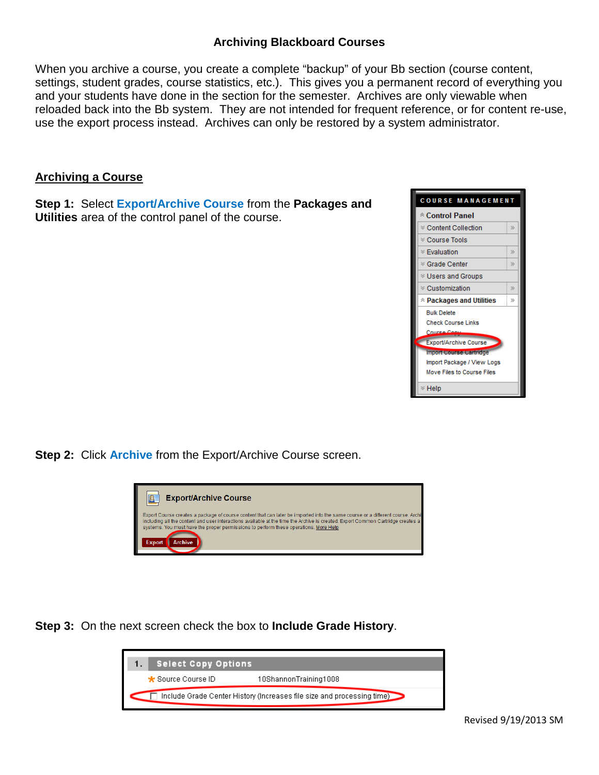## **Archiving Blackboard Courses**

When you archive a course, you create a complete "backup" of your Bb section (course content, settings, student grades, course statistics, etc.). This gives you a permanent record of everything you and your students have done in the section for the semester. Archives are only viewable when reloaded back into the Bb system. They are not intended for frequent reference, or for content re-use, use the export process instead. Archives can only be restored by a system administrator.

## **Archiving a Course**

**Step 1:** Select **Export/Archive Course** from the **Packages and Utilities** area of the control panel of the course.



**Step 2:** Click **Archive** from the Export/Archive Course screen.



**Step 3:** On the next screen check the box to **Include Grade History**.

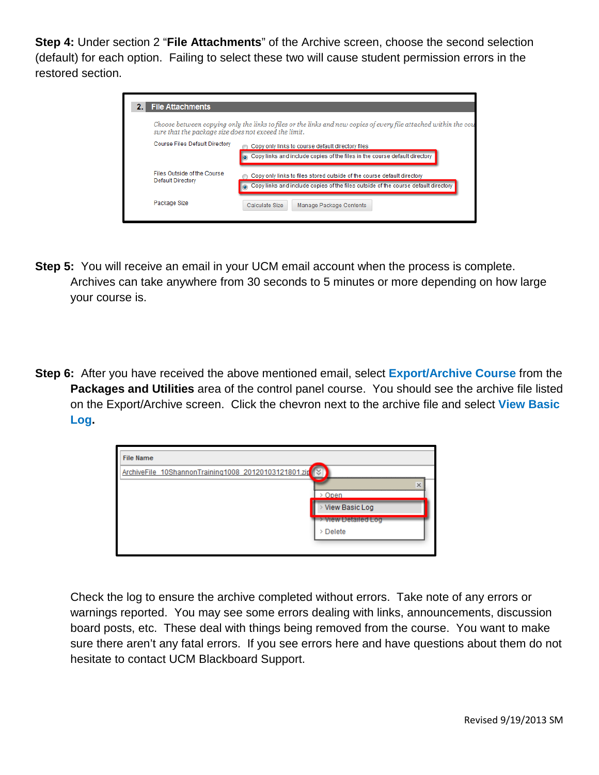**Step 4:** Under section 2 "**File Attachments**" of the Archive screen, choose the second selection (default) for each option. Failing to select these two will cause student permission errors in the restored section.

| <b>File Attachments</b><br>2.1                        |                                                                                                                                                               |
|-------------------------------------------------------|---------------------------------------------------------------------------------------------------------------------------------------------------------------|
| sure that the package size does not exceed the limit. | Choose between copying only the links to files or the links and new copies of every file attached within the cou                                              |
| Course Files Default Directory                        | Copy only links to course default directory files<br>Copy links and include copies of the files in the course default directory                               |
| Files Outside of the Course<br>Default Directory      | Copy only links to files stored outside of the course default directory<br>Copy links and include copies of the files outside of the course default directory |
| Package Size                                          | Calculate Size<br>Manage Package Contents                                                                                                                     |

- **Step 5:** You will receive an email in your UCM email account when the process is complete. Archives can take anywhere from 30 seconds to 5 minutes or more depending on how large your course is.
- **Step 6:** After you have received the above mentioned email, select **Export/Archive Course** from the **Packages and Utilities** area of the control panel course. You should see the archive file listed on the Export/Archive screen. Click the chevron next to the archive file and select **View Basic Log.**



Check the log to ensure the archive completed without errors. Take note of any errors or warnings reported. You may see some errors dealing with links, announcements, discussion board posts, etc. These deal with things being removed from the course. You want to make sure there aren't any fatal errors. If you see errors here and have questions about them do not hesitate to contact UCM Blackboard Support.